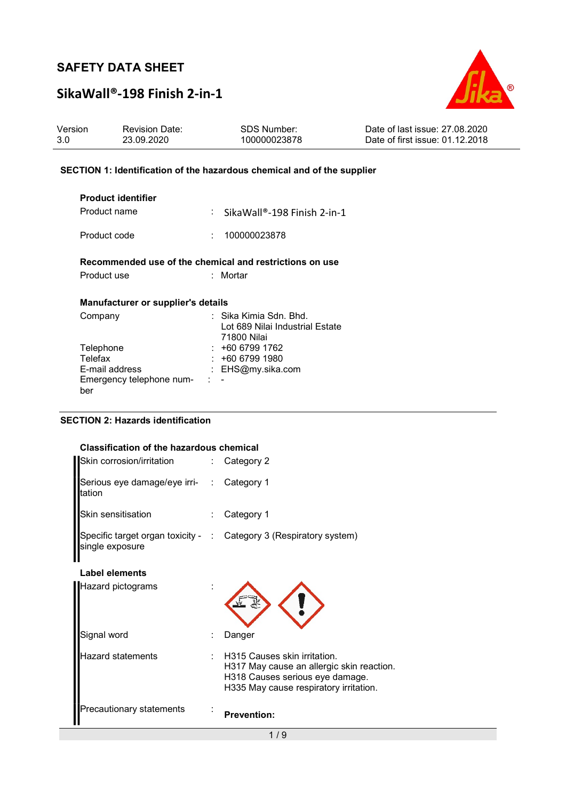# SikaWall®-198 Finish 2-in-1



| Version | <b>Revision Date:</b> | SDS Number:  | Date of last issue: 27,08,2020  |
|---------|-----------------------|--------------|---------------------------------|
| 3.0     | 23.09.2020            | 100000023878 | Date of first issue: 01.12.2018 |

#### SECTION 1: Identification of the hazardous chemical and of the supplier

| <b>Product identifier</b>                               |          |                                                                           |
|---------------------------------------------------------|----------|---------------------------------------------------------------------------|
| Product name                                            |          | $\frac{1}{2}$ SikaWall®-198 Finish 2-in-1                                 |
| Product code                                            | <b>.</b> | 100000023878                                                              |
| Recommended use of the chemical and restrictions on use |          |                                                                           |
| Product use                                             |          | : Mortar                                                                  |
| Manufacturer or supplier's details                      |          |                                                                           |
| Company                                                 |          | ∶  Sika Kimia Sdn. Bhd.<br>Lot 689 Nilai Industrial Estate<br>71800 Nilai |
| Telephone                                               |          | +60 6799 1762                                                             |
| Telefax                                                 |          | +60 6799 1980                                                             |
| E-mail address                                          |          | EHS@my.sika.com                                                           |
| Emergency telephone num-<br>ber                         | t.       |                                                                           |

#### SECTION 2: Hazards identification

#### Classification of the hazardous chemical

| Skin corrosion/irritation                           | : Category 2                                                                                                                                           |
|-----------------------------------------------------|--------------------------------------------------------------------------------------------------------------------------------------------------------|
| Serious eye damage/eye irri- : Category 1<br>tation |                                                                                                                                                        |
| Skin sensitisation                                  | Category 1                                                                                                                                             |
| single exposure                                     | Specific target organ toxicity - : Category 3 (Respiratory system)                                                                                     |
| <b>Label elements</b>                               |                                                                                                                                                        |
| Hazard pictograms                                   |                                                                                                                                                        |
| Signal word                                         | Danger                                                                                                                                                 |
| Hazard statements                                   | H315 Causes skin irritation.<br>H317 May cause an allergic skin reaction.<br>H318 Causes serious eye damage.<br>H335 May cause respiratory irritation. |
| Precautionary statements                            | <b>Prevention:</b>                                                                                                                                     |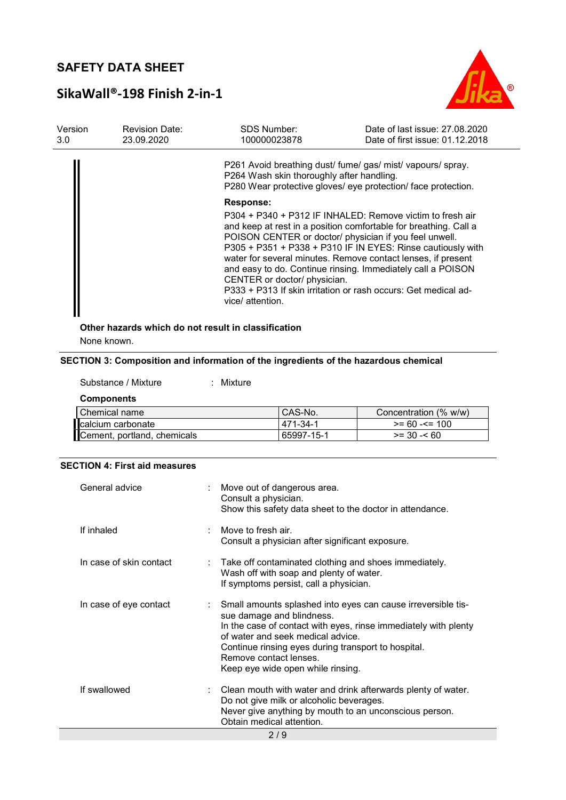# SikaWall®-198 Finish 2-in-1



| Version<br>3.0 | <b>Revision Date:</b><br>23.09.2020                 | <b>SDS Number:</b><br>100000023878                                   | Date of last issue: 27,08,2020<br>Date of first issue: 01.12.2018                                                                                                                                                                                                                                                                                                                                                                                       |
|----------------|-----------------------------------------------------|----------------------------------------------------------------------|---------------------------------------------------------------------------------------------------------------------------------------------------------------------------------------------------------------------------------------------------------------------------------------------------------------------------------------------------------------------------------------------------------------------------------------------------------|
|                |                                                     | P264 Wash skin thoroughly after handling.                            | P261 Avoid breathing dust/ fume/ gas/ mist/ vapours/ spray.<br>P280 Wear protective gloves/ eye protection/ face protection.                                                                                                                                                                                                                                                                                                                            |
|                |                                                     | <b>Response:</b><br>CENTER or doctor/ physician.<br>vice/ attention. | P304 + P340 + P312 IF INHALED: Remove victim to fresh air<br>and keep at rest in a position comfortable for breathing. Call a<br>POISON CENTER or doctor/ physician if you feel unwell.<br>P305 + P351 + P338 + P310 IF IN EYES: Rinse cautiously with<br>water for several minutes. Remove contact lenses, if present<br>and easy to do. Continue rinsing. Immediately call a POISON<br>P333 + P313 If skin irritation or rash occurs: Get medical ad- |
|                | Other hazards which do not result in classification |                                                                      |                                                                                                                                                                                                                                                                                                                                                                                                                                                         |

None known.

#### SECTION 3: Composition and information of the ingredients of the hazardous chemical

#### Substance / Mixture : Mixture

**Components** 

| Chemical name               | CAS-No.     | Concentration (% w/w) |
|-----------------------------|-------------|-----------------------|
| calcium carbonate           | $-471-34-1$ | $>= 60 - 5 = 100$     |
| Cement, portland, chemicals | 65997-15-1  | $>= 30 - 60$          |

#### SECTION 4: First aid measures

| General advice          | : Move out of dangerous area.<br>Consult a physician.<br>Show this safety data sheet to the doctor in attendance.                                                                                                                                                                                                       |  |  |  |  |
|-------------------------|-------------------------------------------------------------------------------------------------------------------------------------------------------------------------------------------------------------------------------------------------------------------------------------------------------------------------|--|--|--|--|
| If inhaled              | Move to fresh air.<br>Consult a physician after significant exposure.                                                                                                                                                                                                                                                   |  |  |  |  |
| In case of skin contact | $\therefore$ Take off contaminated clothing and shoes immediately.<br>Wash off with soap and plenty of water.<br>If symptoms persist, call a physician.                                                                                                                                                                 |  |  |  |  |
| In case of eye contact  | Small amounts splashed into eyes can cause irreversible tis-<br>sue damage and blindness.<br>In the case of contact with eyes, rinse immediately with plenty<br>of water and seek medical advice.<br>Continue rinsing eyes during transport to hospital.<br>Remove contact lenses.<br>Keep eye wide open while rinsing. |  |  |  |  |
| If swallowed            | $\therefore$ Clean mouth with water and drink afterwards plenty of water.<br>Do not give milk or alcoholic beverages.<br>Never give anything by mouth to an unconscious person.<br>Obtain medical attention.                                                                                                            |  |  |  |  |
| 2/9                     |                                                                                                                                                                                                                                                                                                                         |  |  |  |  |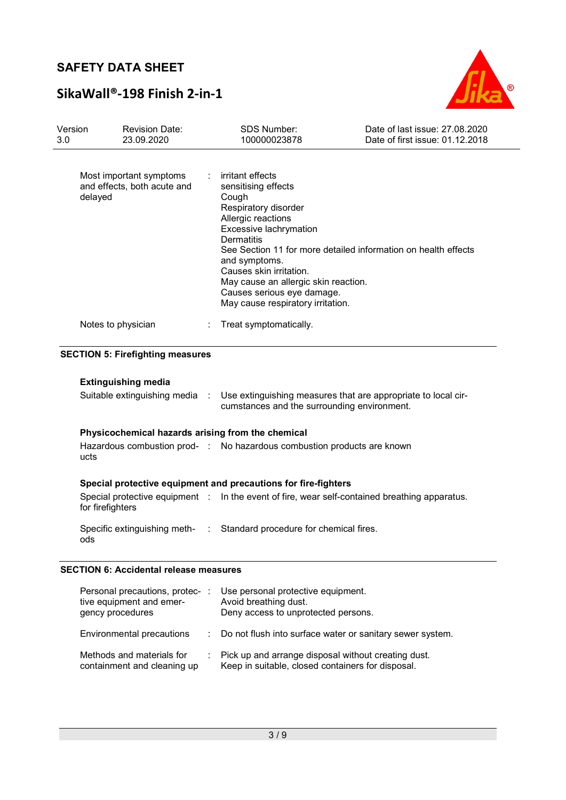# SikaWall®-198 Finish 2-in-1



| Version<br>3.0 | <b>Revision Date:</b><br>23.09.2020                               | SDS Number:<br>100000023878                                                                                                                                                                                                                                                                               | Date of last issue: 27.08.2020<br>Date of first issue: 01.12.2018                             |
|----------------|-------------------------------------------------------------------|-----------------------------------------------------------------------------------------------------------------------------------------------------------------------------------------------------------------------------------------------------------------------------------------------------------|-----------------------------------------------------------------------------------------------|
|                | Most important symptoms<br>and effects, both acute and<br>delayed | irritant effects<br>÷<br>sensitising effects<br>Cough<br>Respiratory disorder<br>Allergic reactions<br>Excessive lachrymation<br><b>Dermatitis</b><br>and symptoms.<br>Causes skin irritation.<br>May cause an allergic skin reaction.<br>Causes serious eye damage.<br>May cause respiratory irritation. | See Section 11 for more detailed information on health effects                                |
|                | Notes to physician                                                | Treat symptomatically.                                                                                                                                                                                                                                                                                    |                                                                                               |
|                | <b>SECTION 5: Firefighting measures</b>                           |                                                                                                                                                                                                                                                                                                           |                                                                                               |
|                | <b>Extinguishing media</b>                                        |                                                                                                                                                                                                                                                                                                           |                                                                                               |
|                | Suitable extinguishing media :                                    | cumstances and the surrounding environment.                                                                                                                                                                                                                                                               | Use extinguishing measures that are appropriate to local cir-                                 |
|                | Physicochemical hazards arising from the chemical                 |                                                                                                                                                                                                                                                                                                           |                                                                                               |
|                | ucts                                                              | Hazardous combustion prod- : No hazardous combustion products are known                                                                                                                                                                                                                                   |                                                                                               |
|                |                                                                   | Special protective equipment and precautions for fire-fighters                                                                                                                                                                                                                                            |                                                                                               |
|                | for firefighters                                                  |                                                                                                                                                                                                                                                                                                           | Special protective equipment : In the event of fire, wear self-contained breathing apparatus. |
|                | Specific extinguishing meth-<br>:<br>ods                          | Standard procedure for chemical fires.                                                                                                                                                                                                                                                                    |                                                                                               |
|                | <b>SECTION 6: Accidental release measures</b>                     |                                                                                                                                                                                                                                                                                                           |                                                                                               |

| Personal precautions, protec-<br>tive equipment and emer-<br>gency procedures | Use personal protective equipment.<br>Avoid breathing dust.<br>Deny access to unprotected persons.       |
|-------------------------------------------------------------------------------|----------------------------------------------------------------------------------------------------------|
| Environmental precautions                                                     | : Do not flush into surface water or sanitary sewer system.                                              |
| Methods and materials for<br>containment and cleaning up                      | Pick up and arrange disposal without creating dust.<br>Keep in suitable, closed containers for disposal. |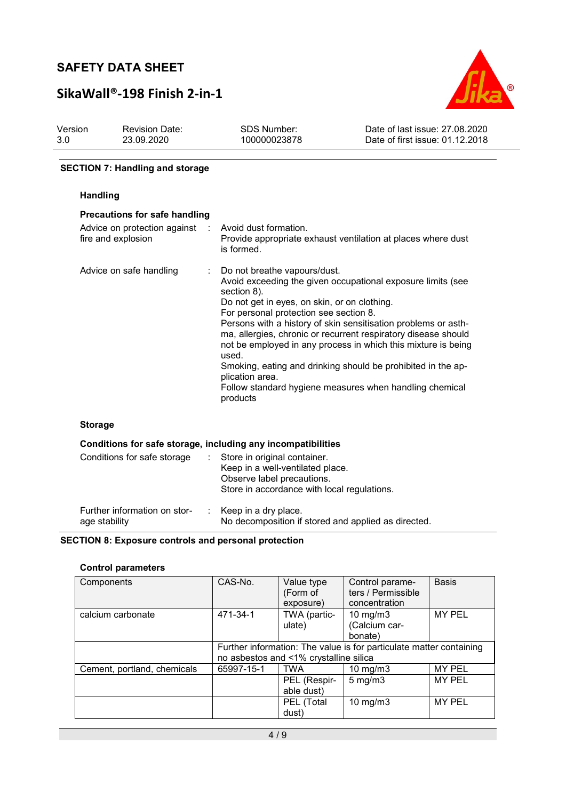# SikaWall®-198 Finish 2-in-1



| Version | <b>Revision Date:</b> | SDS Number:  | Date of last issue: 27,08,2020  |
|---------|-----------------------|--------------|---------------------------------|
| 3.0     | 23.09.2020            | 100000023878 | Date of first issue: 01.12.2018 |

#### SECTION 7: Handling and storage

#### Handling

|                                                              | <b>Precautions for safe handling</b> |                                                                                                                                                                                                                                                                                                                                                                                                                                                                                                                                                                              |  |  |  |  |  |  |
|--------------------------------------------------------------|--------------------------------------|------------------------------------------------------------------------------------------------------------------------------------------------------------------------------------------------------------------------------------------------------------------------------------------------------------------------------------------------------------------------------------------------------------------------------------------------------------------------------------------------------------------------------------------------------------------------------|--|--|--|--|--|--|
| Advice on protection against :<br>fire and explosion         |                                      | Avoid dust formation.<br>Provide appropriate exhaust ventilation at places where dust<br>is formed.                                                                                                                                                                                                                                                                                                                                                                                                                                                                          |  |  |  |  |  |  |
| Advice on safe handling                                      | $\mathbb{R}^n$                       | Do not breathe vapours/dust.<br>Avoid exceeding the given occupational exposure limits (see<br>section 8).<br>Do not get in eyes, on skin, or on clothing.<br>For personal protection see section 8.<br>Persons with a history of skin sensitisation problems or asth-<br>ma, allergies, chronic or recurrent respiratory disease should<br>not be employed in any process in which this mixture is being<br>used.<br>Smoking, eating and drinking should be prohibited in the ap-<br>plication area.<br>Follow standard hygiene measures when handling chemical<br>products |  |  |  |  |  |  |
| <b>Storage</b>                                               |                                      |                                                                                                                                                                                                                                                                                                                                                                                                                                                                                                                                                                              |  |  |  |  |  |  |
| Conditions for safe storage, including any incompatibilities |                                      |                                                                                                                                                                                                                                                                                                                                                                                                                                                                                                                                                                              |  |  |  |  |  |  |

| Conditions for safe storage                   | Store in original container.<br>Keep in a well-ventilated place.<br>Observe label precautions.<br>Store in accordance with local regulations. |
|-----------------------------------------------|-----------------------------------------------------------------------------------------------------------------------------------------------|
| Further information on stor-<br>age stability | $:$ Keep in a dry place.<br>No decomposition if stored and applied as directed.                                                               |

#### SECTION 8: Exposure controls and personal protection

#### Control parameters

| Components                  | CAS-No.                                                                                                       | Value type<br>(Form of<br>exposure) | Control parame-<br>ters / Permissible<br>concentration | <b>Basis</b>  |
|-----------------------------|---------------------------------------------------------------------------------------------------------------|-------------------------------------|--------------------------------------------------------|---------------|
| calcium carbonate           | 471-34-1                                                                                                      | TWA (partic-<br>ulate)              | 10 mg/m $3$<br>(Calcium car-<br>bonate)                | <b>MY PEL</b> |
|                             | Further information: The value is for particulate matter containing<br>no asbestos and <1% crystalline silica |                                     |                                                        |               |
| Cement, portland, chemicals | 65997-15-1                                                                                                    | <b>TWA</b>                          | 10 mg/m $3$                                            | <b>MY PEL</b> |
|                             |                                                                                                               | PEL (Respir-<br>able dust)          | $5 \text{ mg/m}$                                       | <b>MY PEL</b> |
|                             |                                                                                                               | PEL (Total<br>dust)                 | 10 mg/m $3$                                            | <b>MY PEL</b> |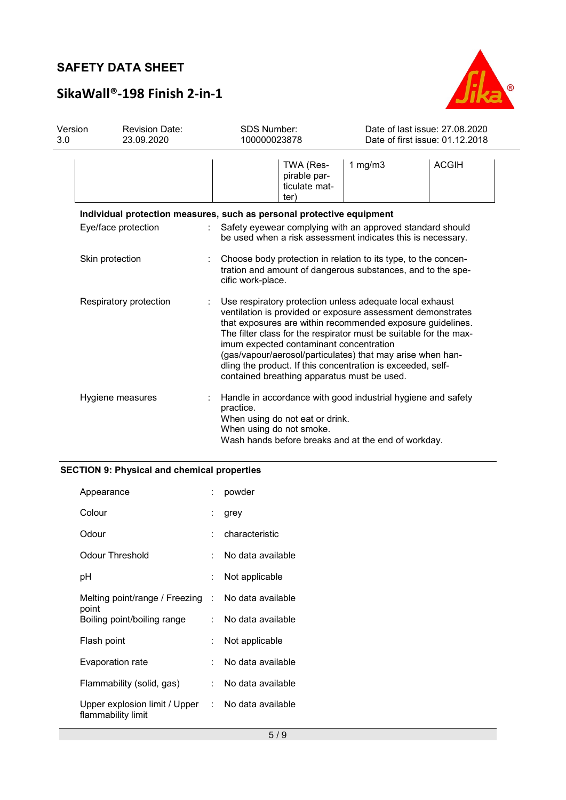# B

# SikaWall®-198 Finish 2-in-1

| Version<br>3.0 | <b>Revision Date:</b><br>23.09.2020                                   | <b>SDS Number:</b><br>100000023878                                                     |                                            | Date of last issue: 27.08.2020<br>Date of first issue: 01.12.2018                                                                                                                                                                                                                                                                                                                       |              |
|----------------|-----------------------------------------------------------------------|----------------------------------------------------------------------------------------|--------------------------------------------|-----------------------------------------------------------------------------------------------------------------------------------------------------------------------------------------------------------------------------------------------------------------------------------------------------------------------------------------------------------------------------------------|--------------|
|                |                                                                       | ter)                                                                                   | TWA (Res-<br>pirable par-<br>ticulate mat- | 1 $mg/m3$                                                                                                                                                                                                                                                                                                                                                                               | <b>ACGIH</b> |
|                | Individual protection measures, such as personal protective equipment |                                                                                        |                                            |                                                                                                                                                                                                                                                                                                                                                                                         |              |
|                | Eye/face protection                                                   |                                                                                        |                                            | Safety eyewear complying with an approved standard should<br>be used when a risk assessment indicates this is necessary.                                                                                                                                                                                                                                                                |              |
|                | Skin protection                                                       | cific work-place.                                                                      |                                            | Choose body protection in relation to its type, to the concen-<br>tration and amount of dangerous substances, and to the spe-                                                                                                                                                                                                                                                           |              |
|                | Respiratory protection                                                | imum expected contaminant concentration<br>contained breathing apparatus must be used. |                                            | Use respiratory protection unless adequate local exhaust<br>ventilation is provided or exposure assessment demonstrates<br>that exposures are within recommended exposure guidelines.<br>The filter class for the respirator must be suitable for the max-<br>(gas/vapour/aerosol/particulates) that may arise when han-<br>dling the product. If this concentration is exceeded, self- |              |
|                | Hygiene measures                                                      | practice.<br>When using do not eat or drink.<br>When using do not smoke.               |                                            | Handle in accordance with good industrial hygiene and safety<br>Wash hands before breaks and at the end of workday.                                                                                                                                                                                                                                                                     |              |

## SECTION 9: Physical and chemical properties

| Appearance                                                   |    | powder            |
|--------------------------------------------------------------|----|-------------------|
| Colour                                                       |    | grey              |
| Odour                                                        |    | characteristic    |
| Odour Threshold                                              |    | No data available |
| рH                                                           |    | Not applicable    |
| Melting point/range / Freezing : No data available<br>point  |    |                   |
| Boiling point/boiling range                                  |    | No data available |
| Flash point                                                  |    | Not applicable    |
| Evaporation rate                                             | ۰. | No data available |
| Flammability (solid, gas)                                    | t. | No data available |
| Upper explosion limit / Upper $\;\;$ :<br>flammability limit |    | No data available |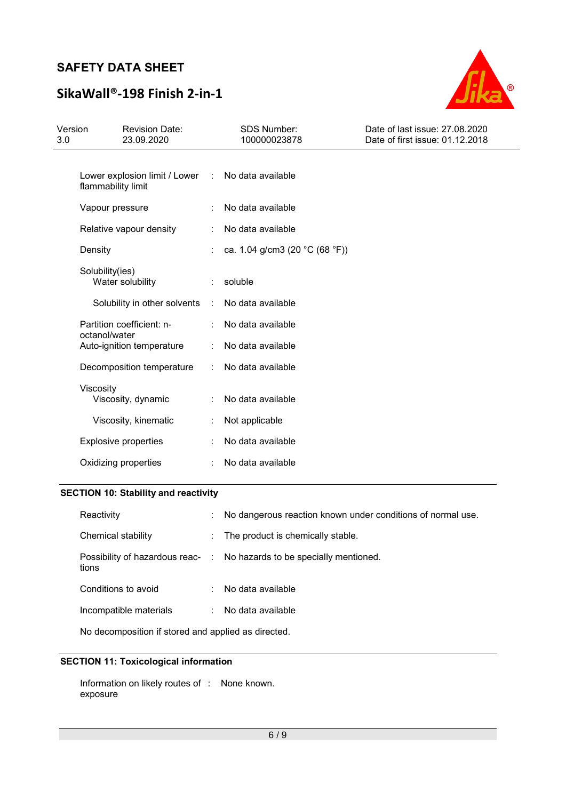# SikaWall®-198 Finish 2-in-1



| Version<br>3.0 | <b>Revision Date:</b><br>23.09.2020                 |                      | SDS Number:<br>100000023878    | Date of last issue: 27.08.2020<br>Date of first issue: 01.12.2018 |
|----------------|-----------------------------------------------------|----------------------|--------------------------------|-------------------------------------------------------------------|
|                | Lower explosion limit / Lower<br>flammability limit | <b>COL</b>           | No data available              |                                                                   |
|                | Vapour pressure                                     |                      | No data available              |                                                                   |
|                | Relative vapour density                             | $\ddot{\phantom{a}}$ | No data available              |                                                                   |
|                | Density                                             |                      | ca. 1.04 g/cm3 (20 °C (68 °F)) |                                                                   |
|                | Solubility(ies)<br>Water solubility                 |                      | soluble                        |                                                                   |
|                | Solubility in other solvents                        | ÷                    | No data available              |                                                                   |
|                | Partition coefficient: n-<br>octanol/water          |                      | No data available              |                                                                   |
|                | Auto-ignition temperature                           |                      | No data available              |                                                                   |
|                | Decomposition temperature                           | $\ddot{\phantom{a}}$ | No data available              |                                                                   |
|                | Viscosity<br>Viscosity, dynamic                     |                      | No data available              |                                                                   |
|                | Viscosity, kinematic                                |                      | Not applicable                 |                                                                   |
|                | <b>Explosive properties</b>                         |                      | No data available              |                                                                   |
|                | Oxidizing properties                                |                      | No data available              |                                                                   |

## SECTION 10: Stability and reactivity

| Reactivity                                | ÷  | No dangerous reaction known under conditions of normal use. |
|-------------------------------------------|----|-------------------------------------------------------------|
| Chemical stability                        | ÷. | The product is chemically stable.                           |
| Possibility of hazardous reac- :<br>tions |    | No hazards to be specially mentioned.                       |
| Conditions to avoid                       |    | No data available                                           |
| Incompatible materials                    |    | No data available                                           |

No decomposition if stored and applied as directed.

## SECTION 11: Toxicological information

Information on likely routes of : None known. exposure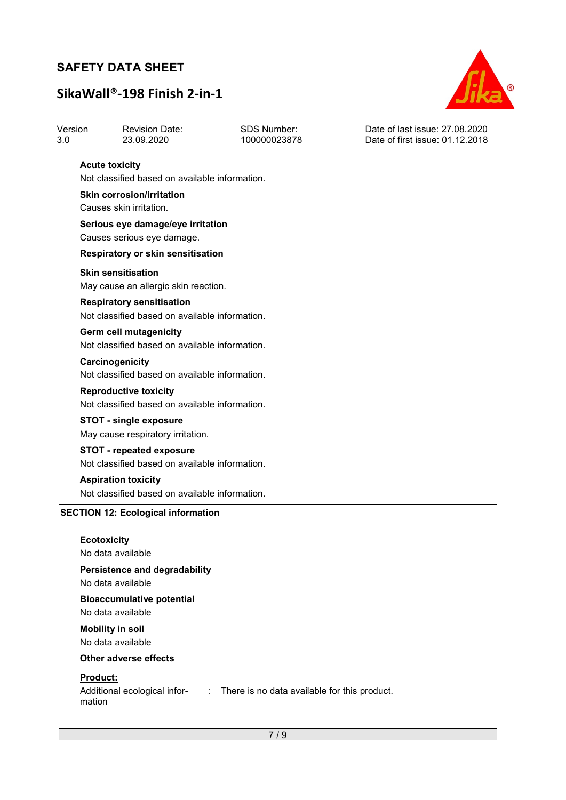# SikaWall®-198 Finish 2-in-1



| Version | <b>Revision Date:</b> | SDS Number:  | Date of last issue: 27,08,2020  |
|---------|-----------------------|--------------|---------------------------------|
| 3.0     | 23.09.2020            | 100000023878 | Date of first issue: 01.12.2018 |

#### Acute toxicity

Not classified based on available information.

Skin corrosion/irritation Causes skin irritation.

Serious eye damage/eye irritation Causes serious eye damage.

#### Respiratory or skin sensitisation

#### Skin sensitisation

May cause an allergic skin reaction.

#### Respiratory sensitisation

Not classified based on available information.

Germ cell mutagenicity Not classified based on available information.

**Carcinogenicity** Not classified based on available information.

#### Reproductive toxicity

Not classified based on available information.

## STOT - single exposure

May cause respiratory irritation.

#### STOT - repeated exposure Not classified based on available information.

Aspiration toxicity

Not classified based on available information.

#### SECTION 12: Ecological information

## **Ecotoxicity** No data available Persistence and degradability No data available Bioaccumulative potential No data available

Mobility in soil No data available

#### Other adverse effects

#### Product:

mation

Additional ecological infor-: There is no data available for this product.

7 / 9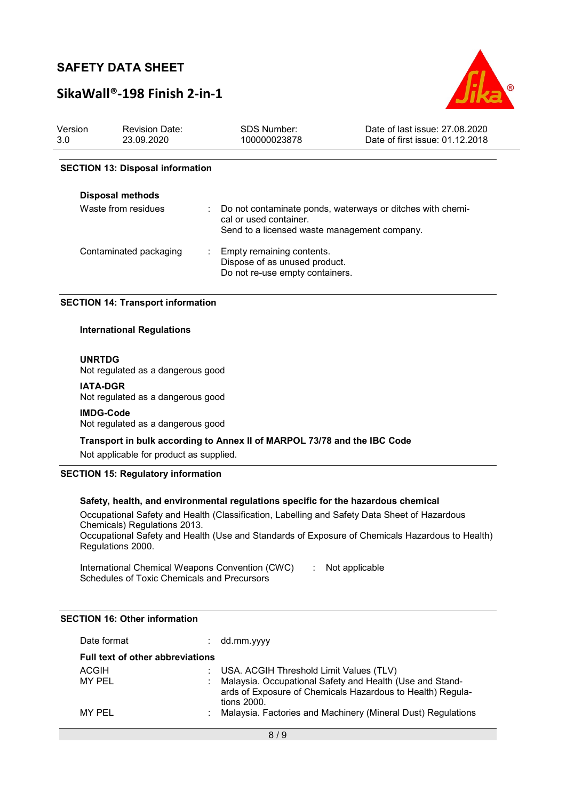## SikaWall®-198 Finish 2-in-1



| Version | <b>Revision Date:</b> | .SDS Number: | Date of last issue: 27,08,2020  |
|---------|-----------------------|--------------|---------------------------------|
| 3.0     | 23.09.2020            | 100000023878 | Date of first issue: 01.12.2018 |
|         |                       |              |                                 |

#### SECTION 13: Disposal information

| <b>Disposal methods</b> |                                                                                                                                      |
|-------------------------|--------------------------------------------------------------------------------------------------------------------------------------|
| Waste from residues     | Do not contaminate ponds, waterways or ditches with chemi-<br>cal or used container.<br>Send to a licensed waste management company. |
| Contaminated packaging  | Empty remaining contents.<br>Dispose of as unused product.<br>Do not re-use empty containers.                                        |

#### SECTION 14: Transport information

#### International Regulations

#### UNRTDG

Not regulated as a dangerous good

#### IATA-DGR

Not regulated as a dangerous good

#### IMDG-Code

Not regulated as a dangerous good

Transport in bulk according to Annex II of MARPOL 73/78 and the IBC Code

Not applicable for product as supplied.

#### SECTION 15: Regulatory information

#### Safety, health, and environmental regulations specific for the hazardous chemical

Occupational Safety and Health (Classification, Labelling and Safety Data Sheet of Hazardous Chemicals) Regulations 2013. Occupational Safety and Health (Use and Standards of Exposure of Chemicals Hazardous to Health)

Regulations 2000.

International Chemical Weapons Convention (CWC) Schedules of Toxic Chemicals and Precursors : Not applicable

## Date format : dd.mm.yyyy Full text of other abbreviations ACGIH : USA. ACGIH Threshold Limit Values (TLV)<br>MY PEL : Malavsia. Occupational Safety and Health (I Malaysia. Occupational Safety and Health (Use and Standards of Exposure of Chemicals Hazardous to Health) Regulations 2000. MY PEL **1988** : Malaysia. Factories and Machinery (Mineral Dust) Regulations

### SECTION 16: Other information